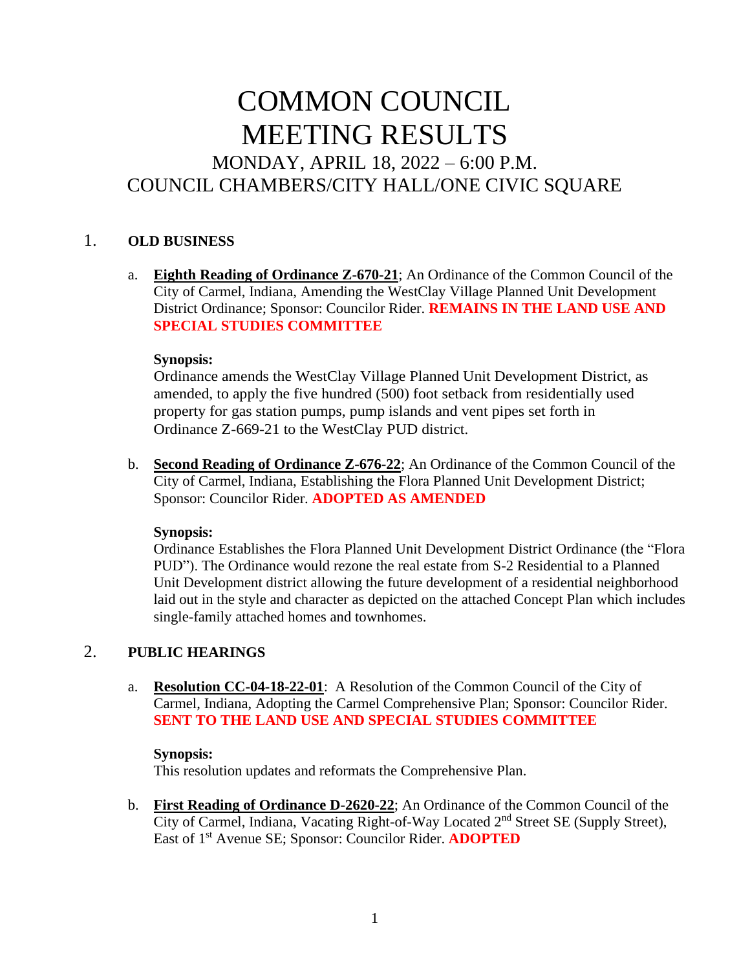# COMMON COUNCIL MEETING RESULTS MONDAY, APRIL 18, 2022 – 6:00 P.M. COUNCIL CHAMBERS/CITY HALL/ONE CIVIC SQUARE

# 1. **OLD BUSINESS**

a. **Eighth Reading of Ordinance Z-670-21**; An Ordinance of the Common Council of the City of Carmel, Indiana, Amending the WestClay Village Planned Unit Development District Ordinance; Sponsor: Councilor Rider. **REMAINS IN THE LAND USE AND SPECIAL STUDIES COMMITTEE**

#### **Synopsis:**

Ordinance amends the WestClay Village Planned Unit Development District, as amended, to apply the five hundred (500) foot setback from residentially used property for gas station pumps, pump islands and vent pipes set forth in Ordinance Z-669-21 to the WestClay PUD district.

b. **Second Reading of Ordinance Z-676-22**; An Ordinance of the Common Council of the City of Carmel, Indiana, Establishing the Flora Planned Unit Development District; Sponsor: Councilor Rider. **ADOPTED AS AMENDED**

#### **Synopsis:**

Ordinance Establishes the Flora Planned Unit Development District Ordinance (the "Flora PUD"). The Ordinance would rezone the real estate from S-2 Residential to a Planned Unit Development district allowing the future development of a residential neighborhood laid out in the style and character as depicted on the attached Concept Plan which includes single-family attached homes and townhomes.

# 2. **PUBLIC HEARINGS**

a. **Resolution CC-04-18-22-01**: A Resolution of the Common Council of the City of Carmel, Indiana, Adopting the Carmel Comprehensive Plan; Sponsor: Councilor Rider. **SENT TO THE LAND USE AND SPECIAL STUDIES COMMITTEE**

#### **Synopsis:**

This resolution updates and reformats the Comprehensive Plan.

b. **First Reading of Ordinance D-2620-22**; An Ordinance of the Common Council of the City of Carmel, Indiana, Vacating Right-of-Way Located 2nd Street SE (Supply Street), East of 1st Avenue SE; Sponsor: Councilor Rider. **ADOPTED**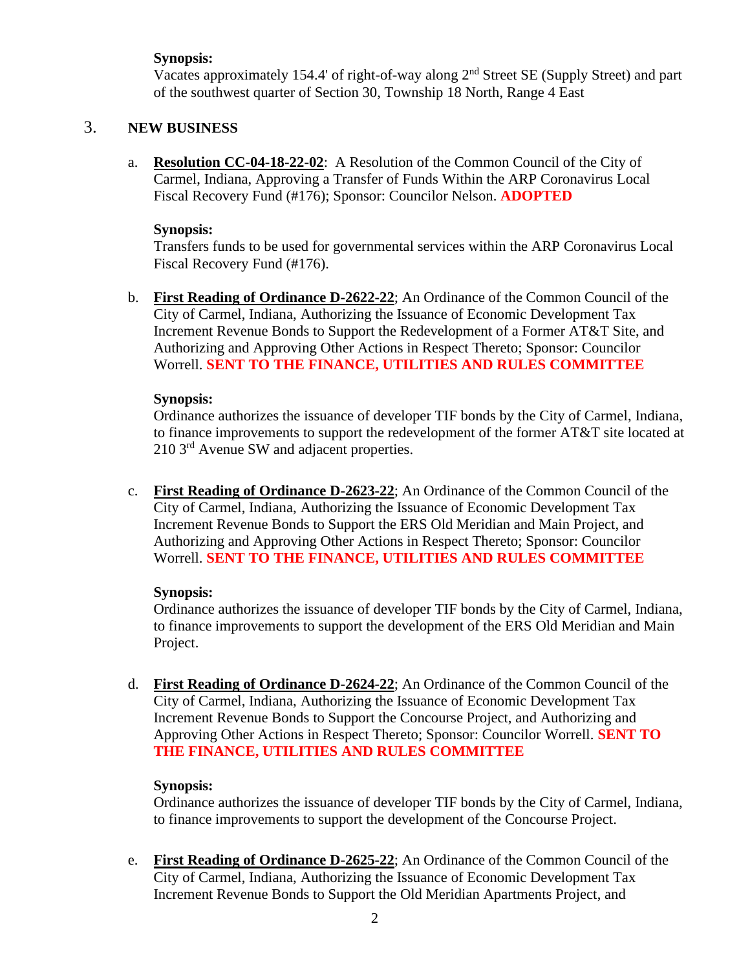## **Synopsis:**

Vacates approximately 154.4' of right-of-way along 2nd Street SE (Supply Street) and part of the southwest quarter of Section 30, Township 18 North, Range 4 East

## 3. **NEW BUSINESS**

a. **Resolution CC-04-18-22-02**: A Resolution of the Common Council of the City of Carmel, Indiana, Approving a Transfer of Funds Within the ARP Coronavirus Local Fiscal Recovery Fund (#176); Sponsor: Councilor Nelson. **ADOPTED**

#### **Synopsis:**

Transfers funds to be used for governmental services within the ARP Coronavirus Local Fiscal Recovery Fund (#176).

b. **First Reading of Ordinance D-2622-22**; An Ordinance of the Common Council of the City of Carmel, Indiana, Authorizing the Issuance of Economic Development Tax Increment Revenue Bonds to Support the Redevelopment of a Former AT&T Site, and Authorizing and Approving Other Actions in Respect Thereto; Sponsor: Councilor Worrell. **SENT TO THE FINANCE, UTILITIES AND RULES COMMITTEE**

#### **Synopsis:**

Ordinance authorizes the issuance of developer TIF bonds by the City of Carmel, Indiana, to finance improvements to support the redevelopment of the former AT&T site located at 210 3rd Avenue SW and adjacent properties.

c. **First Reading of Ordinance D-2623-22**; An Ordinance of the Common Council of the City of Carmel, Indiana, Authorizing the Issuance of Economic Development Tax Increment Revenue Bonds to Support the ERS Old Meridian and Main Project, and Authorizing and Approving Other Actions in Respect Thereto; Sponsor: Councilor Worrell. **SENT TO THE FINANCE, UTILITIES AND RULES COMMITTEE**

#### **Synopsis:**

Ordinance authorizes the issuance of developer TIF bonds by the City of Carmel, Indiana, to finance improvements to support the development of the ERS Old Meridian and Main Project.

d. **First Reading of Ordinance D-2624-22**; An Ordinance of the Common Council of the City of Carmel, Indiana, Authorizing the Issuance of Economic Development Tax Increment Revenue Bonds to Support the Concourse Project, and Authorizing and Approving Other Actions in Respect Thereto; Sponsor: Councilor Worrell. **SENT TO THE FINANCE, UTILITIES AND RULES COMMITTEE**

#### **Synopsis:**

Ordinance authorizes the issuance of developer TIF bonds by the City of Carmel, Indiana, to finance improvements to support the development of the Concourse Project.

e. **First Reading of Ordinance D-2625-22**; An Ordinance of the Common Council of the City of Carmel, Indiana, Authorizing the Issuance of Economic Development Tax Increment Revenue Bonds to Support the Old Meridian Apartments Project, and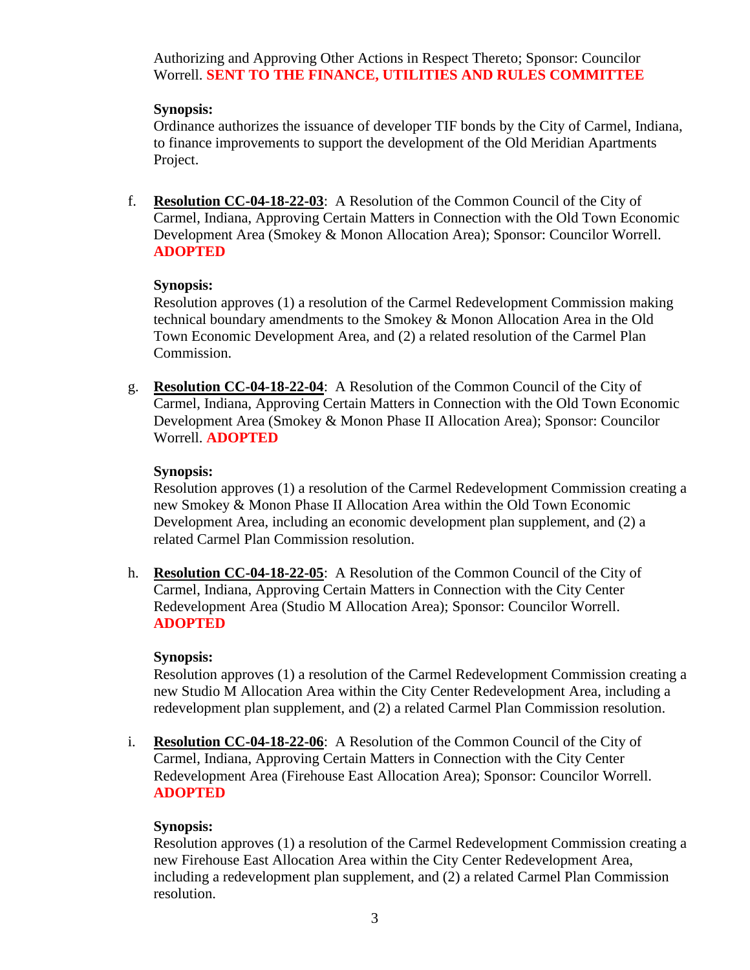Authorizing and Approving Other Actions in Respect Thereto; Sponsor: Councilor Worrell. **SENT TO THE FINANCE, UTILITIES AND RULES COMMITTEE**

## **Synopsis:**

Ordinance authorizes the issuance of developer TIF bonds by the City of Carmel, Indiana, to finance improvements to support the development of the Old Meridian Apartments Project.

f. **Resolution CC-04-18-22-03**: A Resolution of the Common Council of the City of Carmel, Indiana, Approving Certain Matters in Connection with the Old Town Economic Development Area (Smokey & Monon Allocation Area); Sponsor: Councilor Worrell. **ADOPTED**

## **Synopsis:**

Resolution approves (1) a resolution of the Carmel Redevelopment Commission making technical boundary amendments to the Smokey & Monon Allocation Area in the Old Town Economic Development Area, and (2) a related resolution of the Carmel Plan Commission.

g. **Resolution CC-04-18-22-04**: A Resolution of the Common Council of the City of Carmel, Indiana, Approving Certain Matters in Connection with the Old Town Economic Development Area (Smokey & Monon Phase II Allocation Area); Sponsor: Councilor Worrell. **ADOPTED**

# **Synopsis:**

Resolution approves (1) a resolution of the Carmel Redevelopment Commission creating a new Smokey & Monon Phase II Allocation Area within the Old Town Economic Development Area, including an economic development plan supplement, and (2) a related Carmel Plan Commission resolution.

h. **Resolution CC-04-18-22-05**: A Resolution of the Common Council of the City of Carmel, Indiana, Approving Certain Matters in Connection with the City Center Redevelopment Area (Studio M Allocation Area); Sponsor: Councilor Worrell. **ADOPTED**

#### **Synopsis:**

Resolution approves (1) a resolution of the Carmel Redevelopment Commission creating a new Studio M Allocation Area within the City Center Redevelopment Area, including a redevelopment plan supplement, and (2) a related Carmel Plan Commission resolution.

i. **Resolution CC-04-18-22-06**: A Resolution of the Common Council of the City of Carmel, Indiana, Approving Certain Matters in Connection with the City Center Redevelopment Area (Firehouse East Allocation Area); Sponsor: Councilor Worrell. **ADOPTED**

# **Synopsis:**

Resolution approves (1) a resolution of the Carmel Redevelopment Commission creating a new Firehouse East Allocation Area within the City Center Redevelopment Area, including a redevelopment plan supplement, and (2) a related Carmel Plan Commission resolution.